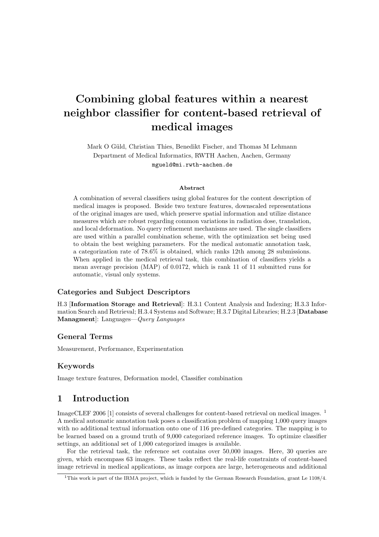# Combining global features within a nearest neighbor classifier for content-based retrieval of medical images

Mark O Güld, Christian Thies, Benedikt Fischer, and Thomas M Lehmann Department of Medical Informatics, RWTH Aachen, Aachen, Germany mgueld@mi.rwth-aachen.de

#### Abstract

A combination of several classifiers using global features for the content description of medical images is proposed. Beside two texture features, downscaled representations of the original images are used, which preserve spatial information and utilize distance measures which are robust regarding common variations in radiation dose, translation, and local deformation. No query refinement mechanisms are used. The single classifiers are used within a parallel combination scheme, with the optimization set being used to obtain the best weighing parameters. For the medical automatic annotation task, a categorization rate of 78.6% is obtained, which ranks 12th among 28 submissions. When applied in the medical retrieval task, this combination of classifiers yields a mean average precision (MAP) of 0.0172, which is rank 11 of 11 submitted runs for automatic, visual only systems.

#### Categories and Subject Descriptors

H.3 [Information Storage and Retrieval]: H.3.1 Content Analysis and Indexing; H.3.3 Information Search and Retrieval; H.3.4 Systems and Software; H.3.7 Digital Libraries; H.2.3 [Database Managment]: Languages—Query Languages

#### General Terms

Measurement, Performance, Experimentation

#### Keywords

Image texture features, Deformation model, Classifier combination

## 1 Introduction

ImageCLEF 2006 [1] consists of several challenges for content-based retrieval on medical images. <sup>1</sup> A medical automatic annotation task poses a classification problem of mapping 1,000 query images with no additional textual information onto one of 116 pre-defined categories. The mapping is to be learned based on a ground truth of 9,000 categorized reference images. To optimize classifier settings, an additional set of 1,000 categorized images is available.

For the retrieval task, the reference set contains over 50,000 images. Here, 30 queries are given, which encompass 63 images. These tasks reflect the real-life constraints of content-based image retrieval in medical applications, as image corpora are large, heterogeneous and additional

<sup>1</sup>This work is part of the IRMA project, which is funded by the German Research Foundation, grant Le 1108/4.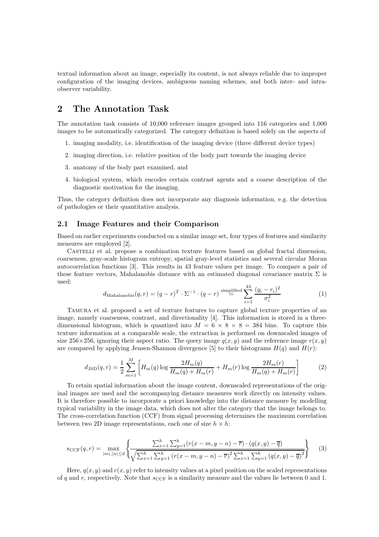textual information about an image, especially its content, is not always reliable due to improper configuration of the imaging devices, ambiguous naming schemes, and both inter- and intraobserver variability.

# 2 The Annotation Task

The annotation task consists of 10,000 reference images grouped into 116 categories and 1,000 images to be automatically categorized. The category definition is based solely on the aspects of

- 1. imaging modality, i.e. identification of the imaging device (three different device types)
- 2. imaging direction, i.e. relative position of the body part towards the imaging device
- 3. anatomy of the body part examined, and
- 4. biological system, which encodes certain contrast agents and a coarse description of the diagnostic motivation for the imaging.

Thus, the category definition does not incorporate any diagnosis information, e.g. the detection of pathologies or their quantitative analysis.

#### 2.1 Image Features and their Comparison

Based on earlier experiments conducted on a similar image set, four types of features and similarity measures are employed [2].

Castelli et al. propose a combination texture features based on global fractal dimension, coarseness, gray-scale histogram entropy, spatial gray-level statistics and several circular Moran autocorrelation functions [3]. This results in 43 feature values per image. To compare a pair of these feature vectors, Mahalanobis distance with an estimated diagonal covariance matrix  $\Sigma$  is used:

$$
d_{\text{Mahalanobis}}(q,r) = (q-r)^T \cdot \Sigma^{-1} \cdot (q-r) \stackrel{\text{simplified}}{=} \sum_{i=1}^{43} \frac{(q_i - r_i)^2}{\sigma_i^2}
$$
 (1)

Tamura et al. proposed a set of texture features to capture global texture properties of an image, namely coarseness, contrast, and directionality [4]. This information is stored in a threedimensional histogram, which is quantized into  $M = 6 \times 8 \times 8 = 384$  bins. To capture this texture information at a comparable scale, the extraction is performed on downscaled images of size 256×256, ignoring their aspect ratio. The query image  $q(x, y)$  and the reference image  $r(x, y)$ are compared by applying Jensen-Shannon divergence [5] to their histograms  $H(q)$  and  $H(r)$ :

$$
d_{\text{JSD}}(q,r) = \frac{1}{2} \sum_{m=1}^{M} \left[ H_m(q) \log \frac{2H_m(q)}{H_m(q) + H_m(r)} + H_m(r) \log \frac{2H_m(r)}{H_m(q) + H_m(r)} \right]
$$
(2)

To retain spatial information about the image content, downscaled representations of the original images are used and the accompanying distance measures work directly on intensity values. It is therefore possible to incorporate a priori knowledge into the distance measure by modelling typical variability in the image data, which does not alter the category that the image belongs to. The cross-correlation function (CCF) from signal processing determines the maximum correlation between two 2D image representations, each one of size  $h \times h$ :

$$
s_{\text{CCF}}(q,r) = \max_{|m|,|n| \le d} \left\{ \frac{\sum_{x=1}^{h} \sum_{y=1}^{h} (r(x-m, y-n) - \overline{r}) \cdot (q(x,y) - \overline{q})}{\sqrt{\sum_{x=1}^{h} \sum_{y=1}^{h} (r(x-m, y-n) - \overline{r})^{2} \sum_{x=1}^{h} \sum_{y=1}^{h} (q(x,y) - \overline{q})^{2}}} \right\}
$$
(3)

Here,  $q(x, y)$  and  $r(x, y)$  refer to intensity values at a pixel position on the scaled representations of q and r, respectively. Note that  $s_{CCF}$  is a similarity measure and the values lie between 0 and 1.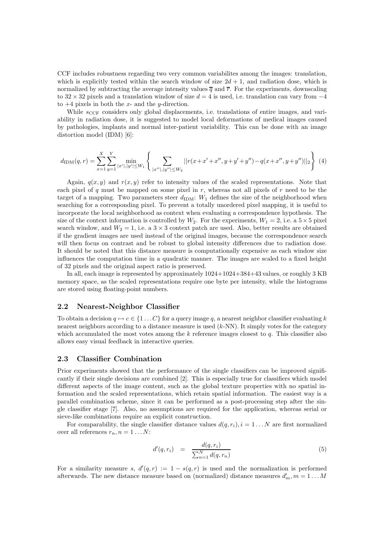CCF includes robustness regarding two very common variabilites among the images: translation, which is explicitly tested within the search window of size  $2d + 1$ , and radiation dose, which is normalized by subtracting the average intensity values  $\overline{q}$  and  $\overline{r}$ . For the experiments, downscaling to 32 × 32 pixels and a translation window of size  $d = 4$  is used, i.e. translation can vary from  $-4$ to  $+4$  pixels in both the x- and the y-direction.

While  $s_{\text{CCF}}$  considers only global displacements, i.e. translations of entire images, and variability in radiation dose, it is suggested to model local deformations of medical images caused by pathologies, implants and normal inter-patient variability. This can be done with an image distortion model (IDM) [6]:

$$
d_{\text{IDM}}(q,r) = \sum_{x=1}^{X} \sum_{y=1}^{Y} \min_{|x'|,|y'| \le W_1} \left\{ \sum_{|x''|,|y''| \le W_2} ||r(x+x'+x'', y+y'+y'') - q(x+x'', y+y'')||_2 \right\} (4)
$$

Again,  $q(x, y)$  and  $r(x, y)$  refer to intensity values of the scaled representations. Note that each pixel of q must be mapped on some pixel in  $r$ , whereas not all pixels of  $r$  need to be the target of a mapping. Two parameters steer  $d_{IDM}$ :  $W_1$  defines the size of the neighborhood when searching for a corresponding pixel. To prevent a totally unordered pixel mapping, it is useful to incorporate the local neighborhood as context when evaluating a correspondence hypothesis. The size of the context information is controlled by  $W_2$ . For the experiments,  $W_1 = 2$ , i.e. a  $5 \times 5$  pixel search window, and  $W_2 = 1$ , i.e. a  $3 \times 3$  context patch are used. Also, better results are obtained if the gradient images are used instead of the original images, because the correspondence search will then focus on contrast and be robust to global intensity differences due to radiation dose. It should be noted that this distance measure is computationally expensive as each window size influences the computation time in a quadratic manner. The images are scaled to a fixed height of 32 pixels and the original aspect ratio is preserved.

In all, each image is represented by approximately 1024+1024+384+43 values, or roughly 3 KB memory space, as the scaled representations require one byte per intensity, while the histograms are stored using floating-point numbers.

#### 2.2 Nearest-Neighbor Classifier

To obtain a decision  $q \mapsto c \in \{1 \dots C\}$  for a query image q, a nearest neighbor classifier evaluating k nearest neighbors according to a distance measure is used  $(k-NN)$ . It simply votes for the category which accumulated the most votes among the  $k$  reference images closest to  $q$ . This classifier also allows easy visual feedback in interactive queries.

#### 2.3 Classifier Combination

Prior experiments showed that the performance of the single classifiers can be improved significantly if their single decisions are combined [2]. This is especially true for classifiers which model different aspects of the image content, such as the global texture properties with no spatial information and the scaled representations, which retain spatial information. The easiest way is a parallel combination scheme, since it can be performed as a post-processing step after the single classifier stage [7]. Also, no assumptions are required for the application, whereas serial or sieve-like combinations require an explicit construction.

For comparability, the single classifier distance values  $d(q, r_i)$ ,  $i = 1...N$  are first normalized over all references  $r_n, n = 1...N$ :

$$
d'(q, r_i) = \frac{d(q, r_i)}{\sum_{n=1}^{N} d(q, r_n)}
$$
\n
$$
(5)
$$

For a similarity measure s,  $d'(q,r) := 1 - s(q,r)$  is used and the normalization is performed afterwards. The new distance measure based on (normalized) distance measures  $d'_m$ ,  $m = 1...M$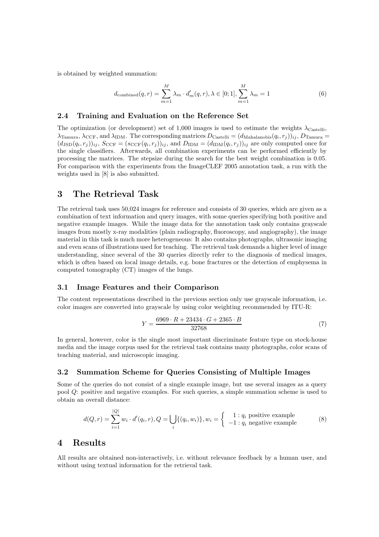is obtained by weighted summation:

$$
d_{\text{combined}}(q,r) = \sum_{m=1}^{M} \lambda_m \cdot d'_m(q,r), \lambda \in [0;1], \sum_{m=1}^{M} \lambda_m = 1
$$
\n(6)

#### 2.4 Training and Evaluation on the Reference Set

The optimization (or development) set of 1,000 images is used to estimate the weights  $\lambda_{\text{Castelli}}$ ,  $\lambda_{\text{Tamura}}, \lambda_{\text{CCF}}, \text{and } \lambda_{\text{IDM}}.$  The corresponding matrices  $D_{\text{Castelli}} = (d_{\text{Mahalanobis}}(q_i, r_j))_{ij}, D_{\text{Tamura}} =$  $(d_{\text{JSD}}(q_i, r_j))_{ij}, S_{\text{CCF}} = (s_{\text{CCF}}(q_i, r_j))_{ij}, \text{ and } D_{\text{IDM}} = (d_{\text{IDM}}(q_i, r_j))_{ij}$  are only computed once for the single classifiers. Afterwards, all combination experiments can be performed efficiently by processing the matrices. The stepsize during the search for the best weight combination is 0.05. For comparison with the experiments from the ImageCLEF 2005 annotation task, a run with the weights used in [8] is also submitted.

# 3 The Retrieval Task

The retrieval task uses 50,024 images for reference and consists of 30 queries, which are given as a combination of text information and query images, with some queries specifying both positive and negative example images. While the image data for the annotation task only contains grayscale images from mostly x-ray modalities (plain radiography, fluoroscopy, and angiography), the image material in this task is much more heterogeneous: It also contains photographs, ultrasonic imaging and even scans of illustrations used for teaching. The retrieval task demands a higher level of image understanding, since several of the 30 queries directly refer to the diagnosis of medical images, which is often based on local image details, e.g. bone fractures or the detection of emphysema in computed tomography (CT) images of the lungs.

#### 3.1 Image Features and their Comparison

The content representations described in the previous section only use grayscale information, i.e. color images are converted into grayscale by using color weighting recommended by ITU-R:

$$
Y = \frac{6969 \cdot R + 23434 \cdot G + 2365 \cdot B}{32768} \tag{7}
$$

In general, however, color is the single most important discriminate feature type on stock-house media and the image corpus used for the retrieval task contains many photographs, color scans of teaching material, and microscopic imaging.

#### 3.2 Summation Scheme for Queries Consisting of Multiple Images

Some of the queries do not consist of a single example image, but use several images as a query pool Q: positive and negative examples. For such queries, a simple summation scheme is used to obtain an overall distance:

$$
d(Q,r) = \sum_{i=1}^{|Q|} w_i \cdot d'(q_i, r), Q = \bigcup_i \{ (q_i, w_i) \}, w_i = \begin{cases} 1: q_i \text{ positive example} \\ -1: q_i \text{ negative example} \end{cases}
$$
(8)

## 4 Results

All results are obtained non-interactively, i.e. without relevance feedback by a human user, and without using textual information for the retrieval task.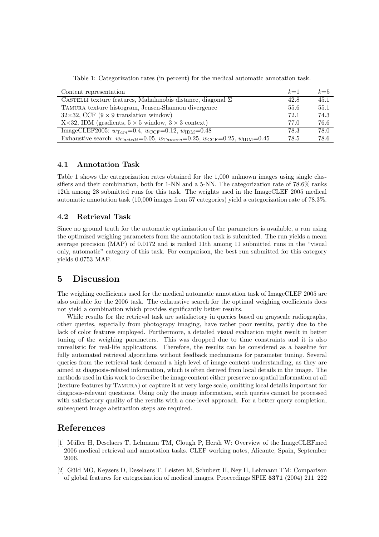Table 1: Categorization rates (in percent) for the medical automatic annotation task.

| Content representation                                                                                                  | $k=1$ | $k=5$ |
|-------------------------------------------------------------------------------------------------------------------------|-------|-------|
| CASTELLI texture features, Mahalanobis distance, diagonal $\Sigma$                                                      | 42.8  | 45.1  |
| TAMURA texture histogram, Jensen-Shannon divergence                                                                     | 55.6  | 55.1  |
| $32\times32$ , CCF (9 $\times$ 9 translation window)                                                                    | 72.1  | 74.3  |
| $X \times 32$ , IDM (gradients, $5 \times 5$ window, $3 \times 3$ context)                                              | 77.0  | 76.6  |
| ImageCLEF2005: $w_{\text{Tam}} = 0.4$ , $w_{\text{CCF}} = 0.12$ , $w_{\text{IDM}} = 0.48$                               | 78.3  | 78.0  |
| Exhaustive search: $w_{\text{Castelli}} = 0.05, w_{\text{Tamura}} = 0.25, w_{\text{CCF}} = 0.25, w_{\text{IDM}} = 0.45$ | 78.5  | 78.6  |

## 4.1 Annotation Task

Table 1 shows the categorization rates obtained for the 1,000 unknown images using single classifiers and their combination, both for 1-NN and a 5-NN. The categorization rate of 78.6% ranks 12th among 28 submitted runs for this task. The weights used in the ImageCLEF 2005 medical automatic annotation task (10,000 images from 57 categories) yield a categorization rate of 78.3%.

#### 4.2 Retrieval Task

Since no ground truth for the automatic optimization of the parameters is available, a run using the optimized weighing parameters from the annotation task is submitted. The run yields a mean average precision (MAP) of 0.0172 and is ranked 11th among 11 submitted runs in the "visual only, automatic" category of this task. For comparison, the best run submitted for this category yields 0.0753 MAP.

# 5 Discussion

The weighing coefficients used for the medical automatic annotation task of ImageCLEF 2005 are also suitable for the 2006 task. The exhaustive search for the optimal weighing coefficients does not yield a combination which provides significantly better results.

While results for the retrieval task are satisfactory in queries based on grayscale radiographs, other queries, especially from photograpy imaging, have rather poor results, partly due to the lack of color features employed. Furthermore, a detailed visual evaluation might result in better tuning of the weighing parameters. This was dropped due to time constraints and it is also unrealistic for real-life applications. Therefore, the results can be considered as a baseline for fully automated retrieval algorithms without feedback mechanisms for parameter tuning. Several queries from the retrieval task demand a high level of image content understanding, as they are aimed at diagnosis-related information, which is often derived from local details in the image. The methods used in this work to describe the image content either preserve no spatial information at all (texture features by Tamura) or capture it at very large scale, omitting local details important for diagnosis-relevant questions. Using only the image information, such queries cannot be processed with satisfactory quality of the results with a one-level approach. For a better query completion, subsequent image abstraction steps are required.

## References

- [1] M¨uller H, Deselaers T, Lehmann TM, Clough P, Hersh W: Overview of the ImageCLEFmed 2006 medical retrieval and annotation tasks. CLEF working notes, Alicante, Spain, September 2006.
- [2] Güld MO, Keysers D, Deselaers T, Leisten M, Schubert H, Ney H, Lehmann TM: Comparison of global features for categorization of medical images. Proceedings SPIE 5371 (2004) 211–222